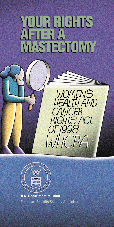

WOMEN'S<br>HEALTH AND

ICRA

**SACT** 



**U.S. Department of Labor** Employee Benefits Security Administration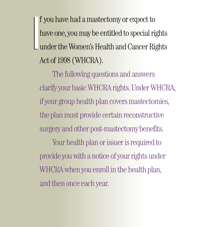f you have had a mastectomy or expect to have one, you may be entitled to special rights under the Women's Health and Cancer Rights Act of 1998 (WHCRA).

The following questions and answers clarify your basic WHCRA rights. Under WHCRA, if your group health plan covers mastectomies, the plan must provide certain reconstructive surgery and other post-mastectomy benefits.

Your health plan or issuer is required to provide you with a notice of your rights under WHCRA when you enroll in the health plan, and then once each year.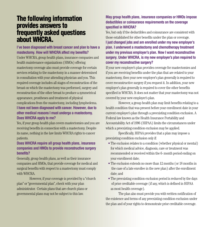## The following information provides answers to frequently asked questions about WHCRA.

#### **I've been diagnosed with breast cancer and plan to have a mastectomy. How will WHCRA affect my benefits?**

Under WHCRA, group health plans, insurance companies and health maintenance organizations (HMOs) offering mastectomy coverage also must provide coverage for certain services relating to the mastectomy in a manner determined in consultation with your attending physician and you. This required coverage includes all stages of reconstruction of the breast on which the mastectomy was performed, surgery and reconstruction of the other breast to produce a symmetrical appearance, prostheses and treatment of physical complications from the mastectomy, including lymphedema. **I have not been diagnosed with cancer. However, due to other medical reasons I must undergo a mastectomy.**

#### **Does WHCRA apply to me?**

Yes, if your group health plan covers mastectomies and you are receiving benefits in connection with a mastectomy. Despite its name, nothing in the law limits WHCRA rights to cancer patients.

#### **Does WHCRA require all group health plans, insurance companies and HMOs to provide reconstructive surgery benefits?**

Generally, group health plans, as well as their insurance companies and HMOs, that provide coverage for medical and surgical benefits with respect to a mastectomy must comply with WHCRA.

However, if your coverage is provided by a "church plan" or "governmental plan", check with your plan administrator. Certain plans that are church plans or governmental plans may not be subject to this law.

#### **May group health plans, insurance companies or HMOs impose deductibles or coinsurance requirements on the coverage specified in WHCRA?**

Yes, but only if the deductibles and coinsurance are consistent with those established for other benefits under the plan or coverage. **I just changed jobs and am enrolled under my new employer's plan. I underwent a mastectomy and chemotherapy treatment under my previous employer's plan. Now I want reconstructive surgery. Under WHCRA, is my new employer's plan required to cover my reconstructive surgery?**

If your new employer's plan provides coverage for mastectomies and if you are receiving benefits under the plan that are related to your mastectomy, then your new employer's plan generally is required to cover reconstructive surgery if you request it. In addition, your new employer's plan generally is required to cover the other benefits specified in WHCRA. It does not matter that your mastectomy was not covered by your new employer's plan.

However, a group health plan may limit benefits relating to a health condition that was present before your enrollment date in your current employer's plan through a preexisting condition exclusion. A Federal law known as the Health Insurance Portability and Accountability Act of 1996 (HIPAA) limits the circumstances under which a preexisting condition exclusion may be applied.

Specifically, HIPAA provides that a plan may impose a preexisting condition exclusion only if:

- The exclusion relates to a condition (whether physical or mental) for which medical advice, diagnosis, care or treatment was recommended or received within the 6- month period ending on your enrollment date;
- The exclusion extends no more than 12 months (or 18 months in the case of a late enrollee in the new plan) after the enrollment date; and
- The preexisting condition exclusion period is reduced by the days of prior creditable coverage (if any, which is defined in HIPAA as most health coverage).

The plan also must provide you with written notification of the existence and terms of any preexisting condition exclusion under the plan and of your rights to demonstrate prior creditable coverage.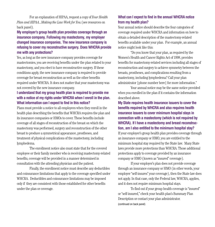For an explanation of HIPAA, request a copy of *Your Health Plan and HIPAA...Making the Law Work for You.*(see resources on back panel).

#### **My employer's group health plan provides coverage through an insurance company. Following my mastectomy, my employer changed insurance companies. The new insurance company is refusing to cover my reconstructive surgery. Does WHCRA provide me with any protections?**

Yes, as long as the new insurance company provides coverage for mastectomies, you are receiving benefits under the plan related to your mastectomy, and you elect to have reconstructive surgery. If these conditions apply, the new insurance company is required to provide coverage for breast reconstruction as well as the other benefits required under WHCRA. It does not matter that your mastectomy was not covered by the new insurance company.

#### **I understand that my group health plan is required to provide me with a notice of my rights under WHCRA when I enroll in the plan. What information can I expect to find in this notice?**

Plans must provide a notice to all employees when they enroll in the health plan describing the benefits that WHCRA requires the plan and its insurance companies or HMOs to cover. These benefits include coverage of all stages of reconstruction of the breast on which the mastectomy was performed, surgery and reconstruction of the other breast to produce a symmetrical appearance, prostheses, and treatment of physical complications of the mastectomy, including lymphedema.

The enrollment notice also must state that for the covered employee or their family member who is receiving mastectomy-related benefits, coverage will be provided in a manner determined in consultation with the attending physician and the patient.

Finally, the enrollment notice must describe any deductibles and coinsurance limitations that apply to the coverage specified under WHCRA. Deductibles and coinsurance limitations may be imposed only if they are consistent with those established for other benefits under the plan or coverage.

#### **What can I expect to find in the annual WHCRA notice from my health plan?**

Your annual notice should describe the four categories of coverage required under WHCRA and information on how to obtain a detailed description of the mastectomy-related benefits available under your plan. For example, an annual notice might look like this:

"Do you know that your plan, as required by the Women's Health and Cancer Rights Act of 1998, provides benefits for mastectomy-related services including all stages of reconstruction and surgery to achieve symmetry between the breasts, prostheses, and complications resulting from a mastectomy, including lymphedema? Call your plan administrator [phone number here] for more information."

Your annual notice may be the same notice provided when you enrolled in the plan if it contains the information described above.

**My State requires health insurance issuers to cover the benefits required by WHCRA and also requires health insurance issuers to cover minimum hospital stays in connection with a mastectomy (which is not required by WHCRA). If I have a mastectomy and breast reconstruction, am I also entitled to the minimum hospital stay?** If your employer's group health plan provides coverage through an insurance company or HMO, you are entitled to the minimum hospital stay required by the State law. Many State laws provide more protections than WHCRA. Those additional protections apply to coverage provided by an insurance company or HMO (known as "insured" coverage).

If your employer's plan does not provide coverage through an insurance company or HMO (in other words, your employer "self-insures" your coverage), then the State law does not apply. In that case, only the Federal law, WHCRA, applies, and it does not require minimum hospital stays.

To find out if your group health coverage is "insured" or "self-insured," check your health plan's Summary Plan Description or contact your plan administrator. (continued on back panel)